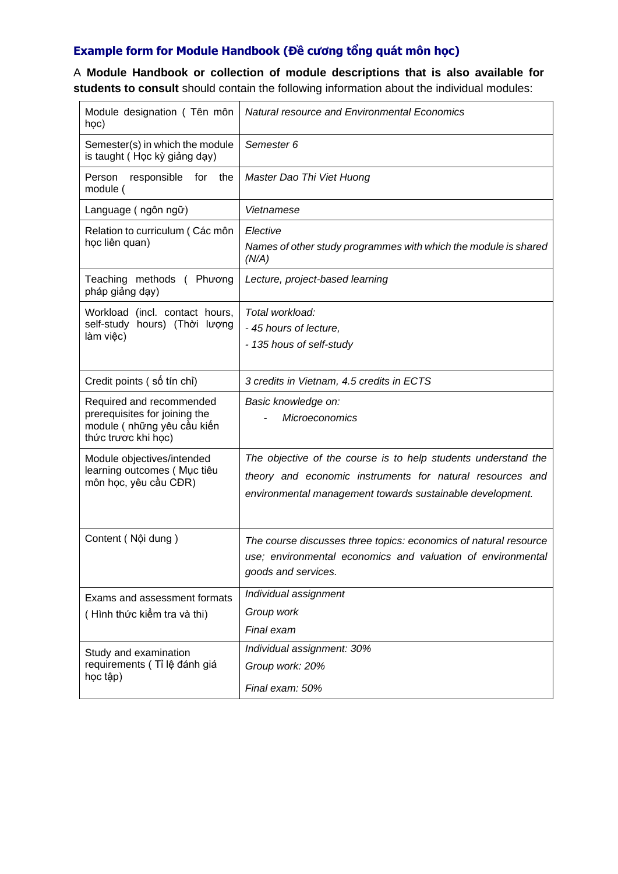## **Example form for Module Handbook (Đề cương tổng quát môn học)**

A **Module Handbook or collection of module descriptions that is also available for students to consult** should contain the following information about the individual modules:

| Module designation (Tên môn<br>học)                                                                             | <b>Natural resource and Environmental Economics</b>                                                                                                                                      |
|-----------------------------------------------------------------------------------------------------------------|------------------------------------------------------------------------------------------------------------------------------------------------------------------------------------------|
| Semester(s) in which the module<br>is taught (Học kỳ giảng dạy)                                                 | Semester 6                                                                                                                                                                               |
| Person<br>responsible<br>for<br>the<br>module (                                                                 | Master Dao Thi Viet Huong                                                                                                                                                                |
| Language (ngôn ngữ)                                                                                             | Vietnamese                                                                                                                                                                               |
| Relation to curriculum (Các môn<br>học liên quan)                                                               | Elective<br>Names of other study programmes with which the module is shared<br>(N/A)                                                                                                     |
| Teaching methods (Phương<br>pháp giảng dạy)                                                                     | Lecture, project-based learning                                                                                                                                                          |
| Workload (incl. contact hours,<br>self-study hours) (Thời lượng<br>làm việc)                                    | Total workload:<br>- 45 hours of lecture,<br>- 135 hous of self-study                                                                                                                    |
| Credit points (số tín chỉ)                                                                                      | 3 credits in Vietnam, 4.5 credits in ECTS                                                                                                                                                |
| Required and recommended<br>prerequisites for joining the<br>module ( những yêu cầu kiến<br>thức trược khi học) | Basic knowledge on:<br><b>Microeconomics</b>                                                                                                                                             |
| Module objectives/intended<br>learning outcomes (Mục tiêu<br>môn học, yêu cầu CĐR)                              | The objective of the course is to help students understand the<br>theory and economic instruments for natural resources and<br>environmental management towards sustainable development. |
| Content (Nội dung)                                                                                              | The course discusses three topics: economics of natural resource<br>use; environmental economics and valuation of environmental<br>goods and services.                                   |
| Exams and assessment formats<br>(Hình thức kiếm tra và thi)                                                     | Individual assignment                                                                                                                                                                    |
|                                                                                                                 | Group work<br>Final exam                                                                                                                                                                 |
|                                                                                                                 | Individual assignment: 30%                                                                                                                                                               |
| Study and examination<br>requirements (Tỉ lệ đánh giá<br>học tập)                                               | Group work: 20%                                                                                                                                                                          |
|                                                                                                                 | Final exam: 50%                                                                                                                                                                          |